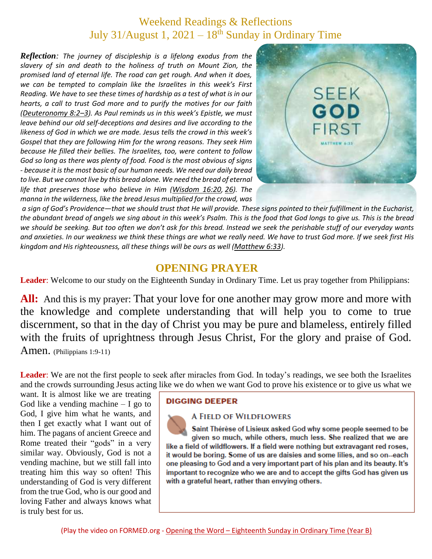# Weekend Readings & Reflections July 31/August 1,  $2021 - 18$ <sup>th</sup> Sunday in Ordinary Time

*Reflection: The journey of discipleship is a lifelong exodus from the slavery of sin and death to the holiness of truth on Mount Zion, the promised land of eternal life. The road can get rough. And when it does, we can be tempted to complain like the Israelites in this week's First Reading. We have to see these times of hardship as a test of what is in our hearts, a call to trust God more and to purify the motives for our faith ([Deuteronomy](https://biblia.com/bible/rsvce/Deut%208.2%E2%80%933) 8:2–3). As Paul reminds us in this week's Epistle, we must leave behind our old self-deceptions and desires and live according to the likeness of God in which we are made. Jesus tells the crowd in this week's Gospel that they are following Him for the wrong reasons. They seek Him because He filled their bellies. The Israelites, too, were content to follow God so long as there was plenty of food. Food is the most obvious of signs - because it is the most basic of our human needs. We need our daily bread*  to live. But we cannot live by this bread alone. We need the bread of eternal *life that preserves those who believe in Him ([Wisdom](https://biblia.com/bible/rsvce/Wis%2016.20) 16:20, [26](https://biblia.com/bible/rsvce/Wisdom%2016.26)). The manna in the wilderness, like the bread Jesus multiplied for the crowd, was*



*a sign of God's Providence—that we should trust that He will provide. These signs pointed to their fulfillment in the Eucharist, the abundant bread of angels we sing about in this week's Psalm. This is the food that God longs to give us. This is the bread we should be seeking. But too often we don't ask for this bread. Instead we seek the perishable stuff of our everyday wants and anxieties. In our weakness we think these things are what we really need. We have to trust God more. If we seek first His kingdom and His righteousness, all these things will be ours as well ([Matthew](https://biblia.com/bible/rsvce/Matt%206.33) 6:33).*

## **OPENING PRAYER**

**Leader**: Welcome to our study on the Eighteenth Sunday in Ordinary Time. Let us pray together from Philippians:

All: And this is my prayer: That your love for one another may grow more and more with the knowledge and complete understanding that will help you to come to true discernment, so that in the day of Christ you may be pure and blameless, entirely filled with the fruits of uprightness through Jesus Christ, For the glory and praise of God. Amen. (Philippians 1:9-11)

Leader: We are not the first people to seek after miracles from God. In today's readings, we see both the Israelites and the crowds surrounding Jesus acting like we do when we want God to prove his existence or to give us what we

want. It is almost like we are treating God like a vending machine  $- I$  go to God, I give him what he wants, and then I get exactly what I want out of him. The pagans of ancient Greece and Rome treated their "gods" in a very similar way. Obviously, God is not a vending machine, but we still fall into treating him this way so often! This understanding of God is very different from the true God, who is our good and loving Father and always knows what is truly best for us.

#### **DIGGING DEEPER**

#### **A FIELD OF WILDFLOWERS**

Saint Thérèse of Lisieux asked God why some people seemed to be given so much, while others, much less. She realized that we are like a field of wildflowers. If a field were nothing but extravagant red roses, it would be boring. Some of us are daisies and some lilies, and so on-each one pleasing to God and a very important part of his plan and its beauty. It's important to recognize who we are and to accept the gifts God has given us with a grateful heart, rather than envying others.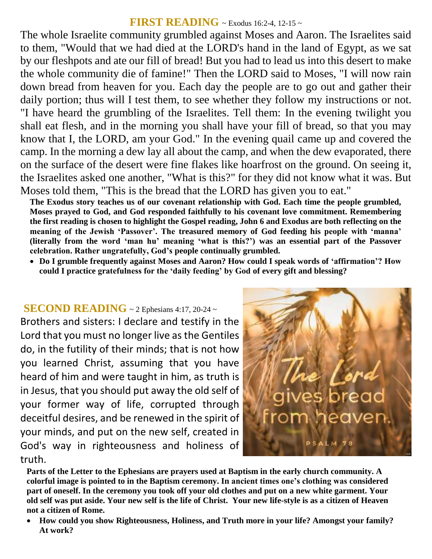## **FIRST READING** ~ Exodus 16:2-4, 12-15 ~

The whole Israelite community grumbled against Moses and Aaron. The Israelites said to them, "Would that we had died at the LORD's hand in the land of Egypt, as we sat by our fleshpots and ate our fill of bread! But you had to lead us into this desert to make the whole community die of famine!" Then the LORD said to Moses, "I will now rain down bread from heaven for you. Each day the people are to go out and gather their daily portion; thus will I test them, to see whether they follow my instructions or not. "I have heard the grumbling of the Israelites. Tell them: In the evening twilight you shall eat flesh, and in the morning you shall have your fill of bread, so that you may know that I, the LORD, am your God." In the evening quail came up and covered the camp. In the morning a dew lay all about the camp, and when the dew evaporated, there on the surface of the desert were fine flakes like hoarfrost on the ground. On seeing it, the Israelites asked one another, "What is this?" for they did not know what it was. But Moses told them, "This is the bread that the LORD has given you to eat."

**The Exodus story teaches us of our covenant relationship with God. Each time the people grumbled, Moses prayed to God, and God responded faithfully to his covenant love commitment. Remembering the first reading is chosen to highlight the Gospel reading, John 6 and Exodus are both reflecting on the meaning of the Jewish 'Passover'. The treasured memory of God feeding his people with 'manna' (literally from the word 'man hu' meaning 'what is this?') was an essential part of the Passover celebration. Rather ungratefully, God's people continually grumbled.** 

 **Do I grumble frequently against Moses and Aaron? How could I speak words of 'affirmation'? How could I practice gratefulness for the 'daily feeding' by God of every gift and blessing?**

#### **SECOND READING** ~ 2 Ephesians 4:17, 20-24 <sup>~</sup>

Brothers and sisters: I declare and testify in the Lord that you must no longer live as the Gentiles do, in the futility of their minds; that is not how you learned Christ, assuming that you have heard of him and were taught in him, as truth is in Jesus, that you should put away the old self of your former way of life, corrupted through deceitful desires, and be renewed in the spirit of your minds, and put on the new self, created in God's way in righteousness and holiness of truth.



**Parts of the Letter to the Ephesians are prayers used at Baptism in the early church community. A colorful image is pointed to in the Baptism ceremony. In ancient times one's clothing was considered part of oneself. In the ceremony you took off your old clothes and put on a new white garment. Your old self was put aside. Your new self is the life of Christ. Your new life-style is as a citizen of Heaven not a citizen of Rome.** 

 **How could you show Righteousness, Holiness, and Truth more in your life? Amongst your family? At work?**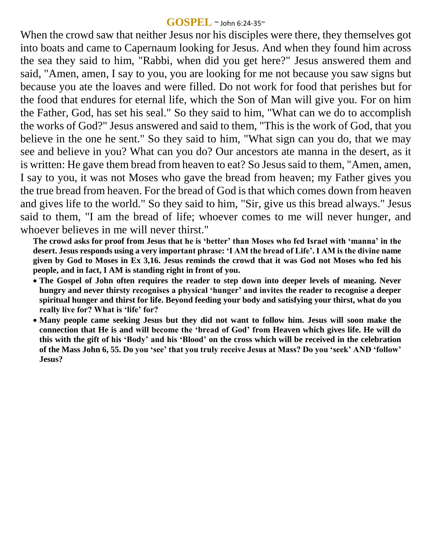#### **GOSPEL** ~ John 6:24-35~

When the crowd saw that neither Jesus nor his disciples were there, they themselves got into boats and came to Capernaum looking for Jesus. And when they found him across the sea they said to him, "Rabbi, when did you get here?" Jesus answered them and said, "Amen, amen, I say to you, you are looking for me not because you saw signs but because you ate the loaves and were filled. Do not work for food that perishes but for the food that endures for eternal life, which the Son of Man will give you. For on him the Father, God, has set his seal." So they said to him, "What can we do to accomplish the works of God?" Jesus answered and said to them, "This is the work of God, that you believe in the one he sent." So they said to him, "What sign can you do, that we may see and believe in you? What can you do? Our ancestors ate manna in the desert, as it is written: He gave them bread from heaven to eat? So Jesus said to them, "Amen, amen, I say to you, it was not Moses who gave the bread from heaven; my Father gives you the true bread from heaven. For the bread of God is that which comes down from heaven and gives life to the world." So they said to him, "Sir, give us this bread always." Jesus said to them, "I am the bread of life; whoever comes to me will never hunger, and whoever believes in me will never thirst."

**The crowd asks for proof from Jesus that he is ʻbetter' than Moses who fed Israel with ʻmanna' in the desert. Jesus responds using a very important phrase: ʻI AM the bread of Life'. I AM is the divine name given by God to Moses in Ex 3,16. Jesus reminds the crowd that it was God not Moses who fed his people, and in fact, I AM is standing right in front of you.**

- **The Gospel of John often requires the reader to step down into deeper levels of meaning. Never hungry and never thirsty recognises a physical ʻhunger' and invites the reader to recognise a deeper spiritual hunger and thirst for life. Beyond feeding your body and satisfying your thirst, what do you really live for? What is ʻlife' for?**
- **Many people came seeking Jesus but they did not want to follow him. Jesus will soon make the connection that He is and will become the ʻbread of God' from Heaven which gives life. He will do this with the gift of his ʻBody' and his ʻBlood' on the cross which will be received in the celebration of the Mass John 6, 55. Do you ʻsee' that you truly receive Jesus at Mass? Do you ʻseek' AND ʻfollow' Jesus?**